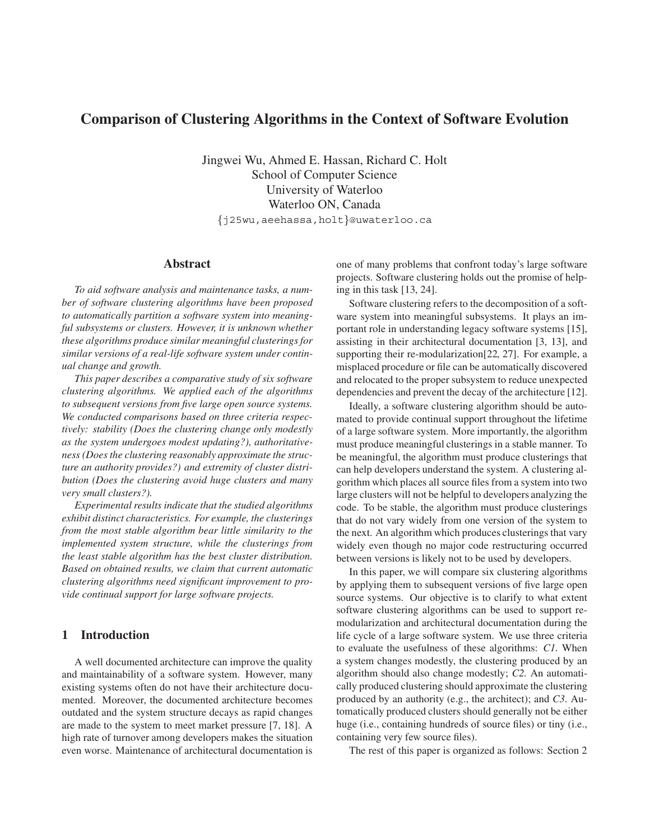# **Comparison of Clustering Algorithms in the Context of Software Evolution**

Jingwei Wu, Ahmed E. Hassan, Richard C. Holt School of Computer Science University of Waterloo Waterloo ON, Canada

j25wu,aeehassa,holt@uwaterloo.ca

## **Abstract**

*To aid software analysis and maintenance tasks, a number of software clustering algorithms have been proposed to automatically partition a software system into meaningful subsystems or clusters. However, it is unknown whether these algorithms produce similar meaningful clusterings for similar versions of a real-life software system under continual change and growth.*

*This paper describes a comparative study of six software clustering algorithms. We applied each of the algorithms to subsequent versions from five large open source systems. We conducted comparisons based on three criteria respectively: stability (Does the clustering change only modestly as the system undergoes modest updating?), authoritativeness (Does the clustering reasonably approximate the structure an authority provides?) and extremity of cluster distribution (Does the clustering avoid huge clusters and many very small clusters?).*

*Experimental results indicate that the studied algorithms exhibit distinct characteristics. For example, the clusterings from the most stable algorithm bear little similarity to the implemented system structure, while the clusterings from the least stable algorithm has the best cluster distribution. Based on obtained results, we claim that current automatic clustering algorithms need significant improvement to provide continual support for large software projects.*

### **1 Introduction**

A well documented architecture can improve the quality and maintainability of a software system. However, many existing systems often do not have their architecture documented. Moreover, the documented architecture becomes outdated and the system structure decays as rapid changes are made to the system to meet market pressure [7, 18]. A high rate of turnover among developers makes the situation even worse. Maintenance of architectural documentation is one of many problems that confront today's large software projects. Software clustering holds out the promise of helping in this task [13, 24].

Software clustering refers to the decomposition of a software system into meaningful subsystems. It plays an important role in understanding legacy software systems [15], assisting in their architectural documentation [3, 13], and supporting their re-modularization[22, 27]. For example, a misplaced procedure or file can be automatically discovered and relocated to the proper subsystem to reduce unexpected dependencies and prevent the decay of the architecture [12].

Ideally, a software clustering algorithm should be automated to provide continual support throughout the lifetime of a large software system. More importantly, the algorithm must produce meaningful clusterings in a stable manner. To be meaningful, the algorithm must produce clusterings that can help developers understand the system. A clustering algorithm which places all source files from a system into two large clusters will not be helpful to developers analyzing the code. To be stable, the algorithm must produce clusterings that do not vary widely from one version of the system to the next. An algorithm which produces clusterings that vary widely even though no major code restructuring occurred between versions is likely not to be used by developers.

In this paper, we will compare six clustering algorithms by applying them to subsequent versions of five large open source systems. Our objective is to clarify to what extent software clustering algorithms can be used to support remodularization and architectural documentation during the life cycle of a large software system. We use three criteria to evaluate the usefulness of these algorithms: *C1* When a system changes modestly, the clustering produced by an algorithm should also change modestly; *C2* An automatically produced clustering should approximate the clustering produced by an authority (e.g., the architect); and *C3* Automatically produced clusters should generally not be either huge (i.e., containing hundreds of source files) or tiny (i.e., containing very few source files).

The rest of this paper is organized as follows: Section 2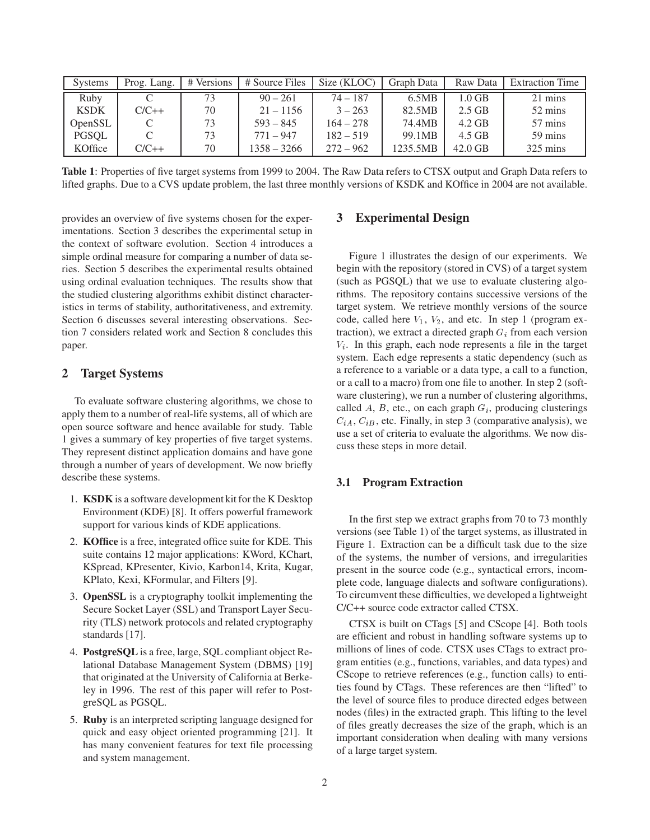| <b>Systems</b> | Prog. Lang. | # Versions | # Source Files | Size (KLOC) | Graph Data | Raw Data  | <b>Extraction Time</b> |
|----------------|-------------|------------|----------------|-------------|------------|-----------|------------------------|
| Ruby           |             | 73         | $90 - 261$     | $74 - 187$  | 6.5MB      | $1.0$ GB  | 21 mins                |
| <b>KSDK</b>    | $C/C++$     | 70         | $21 - 1156$    | $3 - 263$   | 82.5MB     | $2.5$ GB  | 52 mins                |
| <b>OpenSSL</b> |             | 73         | $593 - 845$    | $164 - 278$ | 74.4MB     | $4.2$ GB  | 57 mins                |
| PGSOL          |             | 73         | $771 - 947$    | $182 - 519$ | 99.1MB     | 4.5 GB    | 59 mins                |
| KOffice        | $C/C++$     | 70         | 1358 – 3266    | $272 - 962$ | 1235.5MB   | $42.0$ GB | $325 \text{ mins}$     |

**Table 1**: Properties of five target systems from 1999 to 2004. The Raw Data refers to CTSX output and Graph Data refers to lifted graphs. Due to a CVS update problem, the last three monthly versions of KSDK and KOffice in 2004 are not available.

provides an overview of five systems chosen for the experimentations. Section 3 describes the experimental setup in the context of software evolution. Section 4 introduces a simple ordinal measure for comparing a number of data series. Section 5 describes the experimental results obtained using ordinal evaluation techniques. The results show that the studied clustering algorithms exhibit distinct characteristics in terms of stability, authoritativeness, and extremity. Section 6 discusses several interesting observations. Section 7 considers related work and Section 8 concludes this paper.

## **2 Target Systems**

To evaluate software clustering algorithms, we chose to apply them to a number of real-life systems, all of which are open source software and hence available for study. Table 1 gives a summary of key properties of five target systems. They represent distinct application domains and have gone through a number of years of development. We now briefly describe these systems.

- 1. **KSDK** is a software development kit for the K Desktop Environment (KDE) [8]. It offers powerful framework support for various kinds of KDE applications.
- 2. **KOffice** is a free, integrated office suite for KDE. This suite contains 12 major applications: KWord, KChart, KSpread, KPresenter, Kivio, Karbon14, Krita, Kugar, KPlato, Kexi, KFormular, and Filters [9].
- 3. **OpenSSL** is a cryptography toolkit implementing the Secure Socket Layer (SSL) and Transport Layer Security (TLS) network protocols and related cryptography standards [17].
- 4. **PostgreSQL** is a free, large, SQL compliant object Relational Database Management System (DBMS) [19] that originated at the University of California at Berkeley in 1996. The rest of this paper will refer to PostgreSQL as PGSQL.
- 5. **Ruby** is an interpreted scripting language designed for quick and easy object oriented programming [21]. It has many convenient features for text file processing and system management.

## **3 Experimental Design**

Figure 1 illustrates the design of our experiments. We begin with the repository (stored in CVS) of a target system (such as PGSQL) that we use to evaluate clustering algorithms. The repository contains successive versions of the target system. We retrieve monthly versions of the source code, called here  $V_1$ ,  $V_2$ , and etc. In step 1 (program extraction), we extract a directed graph  $G_i$  from each version  $V_i$ . In this graph, each node represents a file in the target system. Each edge represents a static dependency (such as a reference to a variable or a data type, a call to a function, or a call to a macro) from one file to another. In step 2 (software clustering), we run a number of clustering algorithms, called  $A$ ,  $B$ , etc., on each graph  $G_i$ , producing clusterings  $C_{iA}$ ,  $C_{iB}$ , etc. Finally, in step 3 (comparative analysis), we use a set of criteria to evaluate the algorithms. We now discuss these steps in more detail.

### **3.1 Program Extraction**

In the first step we extract graphs from 70 to 73 monthly versions (see Table 1) of the target systems, as illustrated in Figure 1. Extraction can be a difficult task due to the size of the systems, the number of versions, and irregularities present in the source code (e.g., syntactical errors, incomplete code, language dialects and software configurations). To circumvent these difficulties, we developed a lightweight C/C++ source code extractor called CTSX.

CTSX is built on CTags [5] and CScope [4]. Both tools are efficient and robust in handling software systems up to millions of lines of code. CTSX uses CTags to extract program entities (e.g., functions, variables, and data types) and CScope to retrieve references (e.g., function calls) to entities found by CTags. These references are then "lifted" to the level of source files to produce directed edges between nodes (files) in the extracted graph. This lifting to the level of files greatly decreases the size of the graph, which is an important consideration when dealing with many versions of a large target system.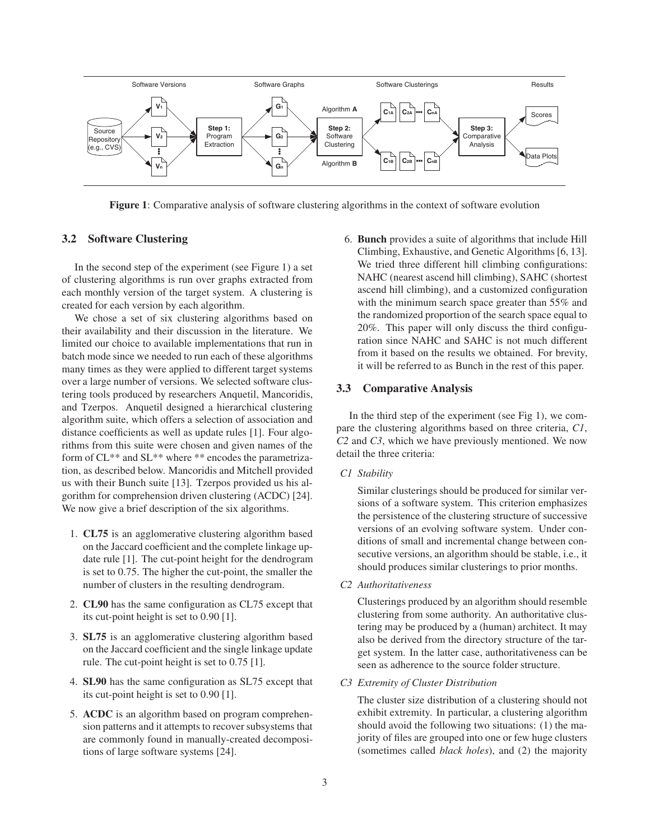

**Figure 1**: Comparative analysis of software clustering algorithms in the context of software evolution

### **3.2 Software Clustering**

In the second step of the experiment (see Figure 1) a set of clustering algorithms is run over graphs extracted from each monthly version of the target system. A clustering is created for each version by each algorithm.

We chose a set of six clustering algorithms based on their availability and their discussion in the literature. We limited our choice to available implementations that run in batch mode since we needed to run each of these algorithms many times as they were applied to different target systems over a large number of versions. We selected software clustering tools produced by researchers Anquetil, Mancoridis, and Tzerpos. Anquetil designed a hierarchical clustering algorithm suite, which offers a selection of association and distance coefficients as well as update rules [1]. Four algorithms from this suite were chosen and given names of the form of CL\*\* and SL\*\* where \*\* encodes the parametrization, as described below. Mancoridis and Mitchell provided us with their Bunch suite [13]. Tzerpos provided us his algorithm for comprehension driven clustering (ACDC) [24]. We now give a brief description of the six algorithms.

- 1. **CL75** is an agglomerative clustering algorithm based on the Jaccard coefficient and the complete linkage update rule [1]. The cut-point height for the dendrogram is set to 0.75. The higher the cut-point, the smaller the number of clusters in the resulting dendrogram.
- 2. **CL90** has the same configuration as CL75 except that its cut-point height is set to 0.90 [1].
- 3. **SL75** is an agglomerative clustering algorithm based on the Jaccard coefficient and the single linkage update rule. The cut-point height is set to 0.75 [1].
- 4. **SL90** has the same configuration as SL75 except that its cut-point height is set to 0.90 [1].
- 5. **ACDC** is an algorithm based on program comprehension patterns and it attempts to recover subsystems that are commonly found in manually-created decompositions of large software systems [24].

6. **Bunch** provides a suite of algorithms that include Hill Climbing, Exhaustive, and Genetic Algorithms [6, 13]. We tried three different hill climbing configurations: NAHC (nearest ascend hill climbing), SAHC (shortest ascend hill climbing), and a customized configuration with the minimum search space greater than 55% and the randomized proportion of the search space equal to 20%. This paper will only discuss the third configuration since NAHC and SAHC is not much different from it based on the results we obtained. For brevity, it will be referred to as Bunch in the rest of this paper.

#### **3.3 Comparative Analysis**

In the third step of the experiment (see Fig 1), we compare the clustering algorithms based on three criteria, *C1*, *C2* and *C3*, which we have previously mentioned. We now detail the three criteria:

*C1 Stability*

Similar clusterings should be produced for similar versions of a software system. This criterion emphasizes the persistence of the clustering structure of successive versions of an evolving software system. Under conditions of small and incremental change between consecutive versions, an algorithm should be stable, i.e., it should produces similar clusterings to prior months.

*C2 Authoritativeness*

Clusterings produced by an algorithm should resemble clustering from some authority. An authoritative clustering may be produced by a (human) architect. It may also be derived from the directory structure of the target system. In the latter case, authoritativeness can be seen as adherence to the source folder structure.

*C3 Extremity of Cluster Distribution*

The cluster size distribution of a clustering should not exhibit extremity. In particular, a clustering algorithm should avoid the following two situations: (1) the majority of files are grouped into one or few huge clusters (sometimes called *black holes*), and (2) the majority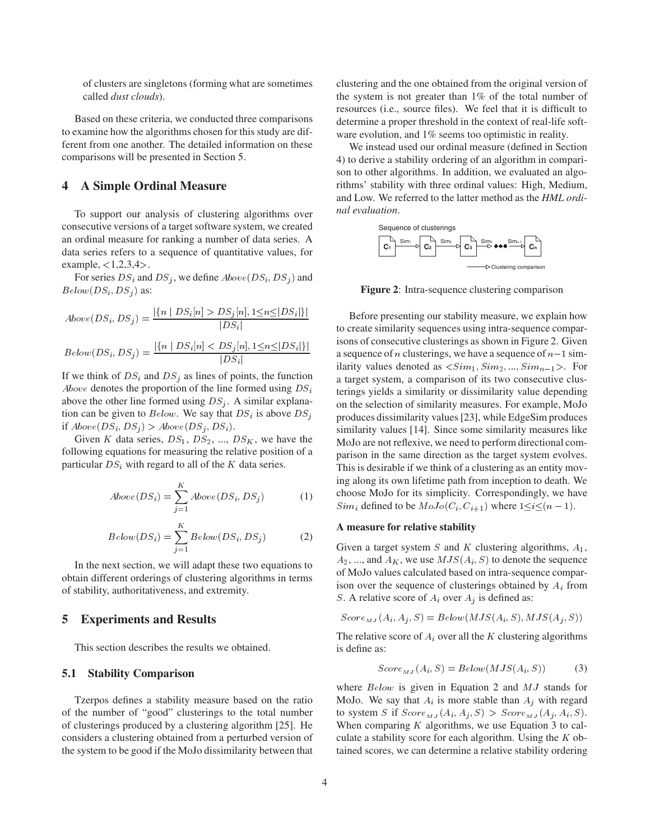of clusters are singletons (forming what are sometimes called *dust clouds*).

Based on these criteria, we conducted three comparisons to examine how the algorithms chosen for this study are different from one another. The detailed information on these comparisons will be presented in Section 5.

## **4 A Simple Ordinal Measure**

To support our analysis of clustering algorithms over consecutive versions of a target software system, we created an ordinal measure for ranking a number of data series. A data series refers to a sequence of quantitative values, for example,  $< 1, 2, 3, 4$ .

For series  $DS_i$  and  $DS_j$ , we define  $Above(DS_i, DS_j)$  and  $Below(DS_i, DS_j)$  as:

$$
Above(DS_i, DS_j) = \frac{|\{n \mid DS_i[n] > DS_j[n], 1 \leq n \leq |DS_i|\}}{|DS_i|}
$$

$$
Below(DS_i, DS_j) = \frac{|\{n \mid DS_i[n] < DS_j[n], 1 \le n \le |DS_i|\}}{|DS_i|}
$$

If we think of  $DS_i$  and  $DS_j$  as lines of points, the function *Above* denotes the proportion of the line formed using  $DS_i$ above the other line formed using  $DS_i$ . A similar explanation can be given to *Below*. We say that  $DS_i$  is above  $DS_i$ if  $Above(DS_i, DS_j) > Above(DS_j, DS_i)$ .

Given K data series,  $DS_1$ ,  $DS_2$ , ...,  $DS_K$ , we have the following equations for measuring the relative position of a particular  $DS_i$ , with regard to all of the K data series.

$$
Above(DS_i) = \sum_{j=1}^{K} Above(DS_i, DS_j)
$$
 (1)

$$
Below(DS_i) = \sum_{j=1}^{K} Below(DS_i, DS_j)
$$
 (2)

In the next section, we will adapt these two equations to obtain different orderings of clustering algorithms in terms of stability, authoritativeness, and extremity.

### **5 Experiments and Results**

This section describes the results we obtained.

#### **5.1 Stability Comparison**

Tzerpos defines a stability measure based on the ratio of the number of "good" clusterings to the total number of clusterings produced by a clustering algorithm [25]. He considers a clustering obtained from a perturbed version of the system to be good if the MoJo dissimilarity between that clustering and the one obtained from the original version of the system is not greater than 1% of the total number of resources (i.e., source files). We feel that it is difficult to determine a proper threshold in the context of real-life software evolution, and 1% seems too optimistic in reality.

We instead used our ordinal measure (defined in Section 4) to derive a stability ordering of an algorithm in comparison to other algorithms. In addition, we evaluated an algorithms' stability with three ordinal values: High, Medium, and Low. We referred to the latter method as the *HML ordinal evaluation*.



**Figure 2**: Intra-sequence clustering comparison

Before presenting our stability measure, we explain how to create similarity sequences using intra-sequence comparisons of consecutive clusterings as shown in Figure 2. Given a sequence of *n* clusterings, we have a sequence of  $n-1$  similarity values denoted as  $\langle Sim_1, Sim_2, ..., Sim_{n-1} \rangle$ . For a target system, a comparison of its two consecutive clusterings yields a similarity or dissimilarity value depending on the selection of similarity measures. For example, MoJo produces dissimilarity values [23], while EdgeSim produces similarity values [14]. Since some similarity measures like MoJo are not reflexive, we need to perform directional comparison in the same direction as the target system evolves. This is desirable if we think of a clustering as an entity moving along its own lifetime path from inception to death. We choose MoJo for its simplicity. Correspondingly, we have  $Sim_i$  defined to be  $MoJo(C_i, C_{i+1})$  where  $1 \leq i \leq (n-1)$ .

#### **A measure for relative stability**

Given a target system  $S$  and  $K$  clustering algorithms,  $A_1$ ,  $A_2, \dots$ , and  $A_K$ , we use  $MJS(A_i, S)$  to denote the sequence of MoJo values calculated based on intra-sequence comparison over the sequence of clusterings obtained by  $A_i$  from S. A relative score of  $A_i$  over  $A_j$  is defined as:

$$
Score_{MJ}(A_i, A_j, S) = Below(MJS(A_i, S), MJS(A_j, S))
$$

The relative score of  $A_i$  over all the  $K$  clustering algorithms is define as:

$$
Score_{MJ}(A_i, S) = Below(MJS(A_i, S))
$$
 (3)

where  $Below$  is given in Equation 2 and  $MJ$  stands for MoJo. We say that  $A_i$  is more stable than  $A_i$  with regard to system S if  $Score_{MJ}(A_i, A_j, S) > Score_{MJ}(A_j, A_i, S)$ . When comparing  $K$  algorithms, we use Equation 3 to calculate a stability score for each algorithm. Using the  $K$  obtained scores, we can determine a relative stability ordering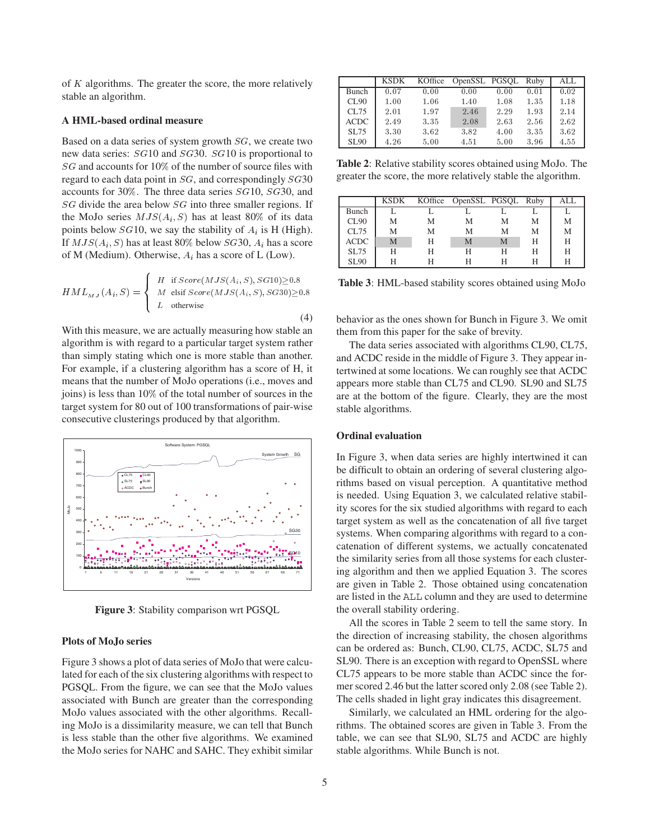of  $K$  algorithms. The greater the score, the more relatively stable an algorithm.

#### **A HML-based ordinal measure**

Based on a data series of system growth  $SG$ , we create two new data series: SG10 and SG30. SG10 is proportional to SG and accounts for 10% of the number of source files with regard to each data point in  $SG$ , and correspondingly  $SG30$ accounts for 30%. The three data series  $SG10$ ,  $SG30$ , and SG divide the area below SG into three smaller regions. If the MoJo series  $MJS(A_i, S)$  has at least 80% of its data points below  $SG10$ , we say the stability of  $A_i$  is H (High). If  $MJS(A_i, S)$  has at least 80% below  $SG30$ ,  $A_i$  has a score of M (Medium). Otherwise,  $A_i$  has a score of L (Low).

$$
HML_{MJ}(A_i, S) = \begin{cases} H & \text{if } Score(MJS(A_i, S), SG10) \ge 0.8 \\ M & \text{elist } Score(MJS(A_i, S), SG30) \ge 0.8 \\ L & \text{otherwise} \end{cases}
$$
 (4)

With this measure, we are actually measuring how stable an algorithm is with regard to a particular target system rather than simply stating which one is more stable than another. For example, if a clustering algorithm has a score of H, it means that the number of MoJo operations (i.e., moves and joins) is less than  $10\%$  of the total number of sources in the target system for 80 out of 100 transformations of pair-wise consecutive clusterings produced by that algorithm.



**Figure 3**: Stability comparison wrt PGSQL

#### **Plots of MoJo series**

Figure 3 shows a plot of data series of MoJo that were calculated for each of the six clustering algorithms with respect to PGSQL. From the figure, we can see that the MoJo values associated with Bunch are greater than the corresponding MoJo values associated with the other algorithms. Recalling MoJo is a dissimilarity measure, we can tell that Bunch is less stable than the other five algorithms. We examined the MoJo series for NAHC and SAHC. They exhibit similar

|             | <b>KSDK</b> | KOffice | OpenSSL PGSOL |      | Ruby | ALL  |
|-------------|-------------|---------|---------------|------|------|------|
| Bunch       | 0.07        | 0.00    | 0.00          | 0.00 | 0.01 | 0.02 |
| CL90        | 1.00        | 1.06    | 1.40          | 1.08 | 1.35 | 1.18 |
| CL75        | 2.01        | 1.97    | 2.46          | 2.29 | 1.93 | 2.14 |
| <b>ACDC</b> | 2.49        | 3.35    | 2.08          | 2.63 | 2.56 | 2.62 |
| <b>SL75</b> | 3.30        | 3.62    | 3.82          | 4.00 | 3.35 | 3.62 |
| <b>SL90</b> | 4.26        | 5.00    | 4.51          | 5.00 | 3.96 | 4.55 |

**Table 2**: Relative stability scores obtained using MoJo. The greater the score, the more relatively stable the algorithm.

|             |   |   | KSDK KOffice OpenSSL PGSOL Ruby |   |   | ALL. |
|-------------|---|---|---------------------------------|---|---|------|
| Bunch       |   |   |                                 |   |   |      |
| CL90        | M | М | M                               | M | M | М    |
| CL75        | M | М | M                               | M | M | М    |
| <b>ACDC</b> | M | Н | M                               | M | Н | H    |
| <b>SL75</b> | Н | Н | Н                               | Н | Н | Н    |
| <b>SL90</b> | н |   |                                 | н |   |      |

**Table 3**: HML-based stability scores obtained using MoJo

behavior as the ones shown for Bunch in Figure 3. We omit them from this paper for the sake of brevity.

The data series associated with algorithms CL90, CL75, and ACDC reside in the middle of Figure 3. They appear intertwined at some locations. We can roughly see that ACDC appears more stable than CL75 and CL90. SL90 and SL75 are at the bottom of the figure. Clearly, they are the most stable algorithms.

#### **Ordinal evaluation**

In Figure 3, when data series are highly intertwined it can be difficult to obtain an ordering of several clustering algorithms based on visual perception. A quantitative method is needed. Using Equation 3, we calculated relative stability scores for the six studied algorithms with regard to each target system as well as the concatenation of all five target systems. When comparing algorithms with regard to a concatenation of different systems, we actually concatenated the similarity series from all those systems for each clustering algorithm and then we applied Equation 3. The scores are given in Table 2. Those obtained using concatenation are listed in the ALL column and they are used to determine the overall stability ordering.

All the scores in Table 2 seem to tell the same story. In the direction of increasing stability, the chosen algorithms can be ordered as: Bunch, CL90, CL75, ACDC, SL75 and SL90. There is an exception with regard to OpenSSL where CL75 appears to be more stable than ACDC since the former scored 2.46 but the latter scored only 2.08 (see Table 2). The cells shaded in light gray indicates this disagreement.

Similarly, we calculated an HML ordering for the algorithms. The obtained scores are given in Table 3. From the table, we can see that SL90, SL75 and ACDC are highly stable algorithms. While Bunch is not.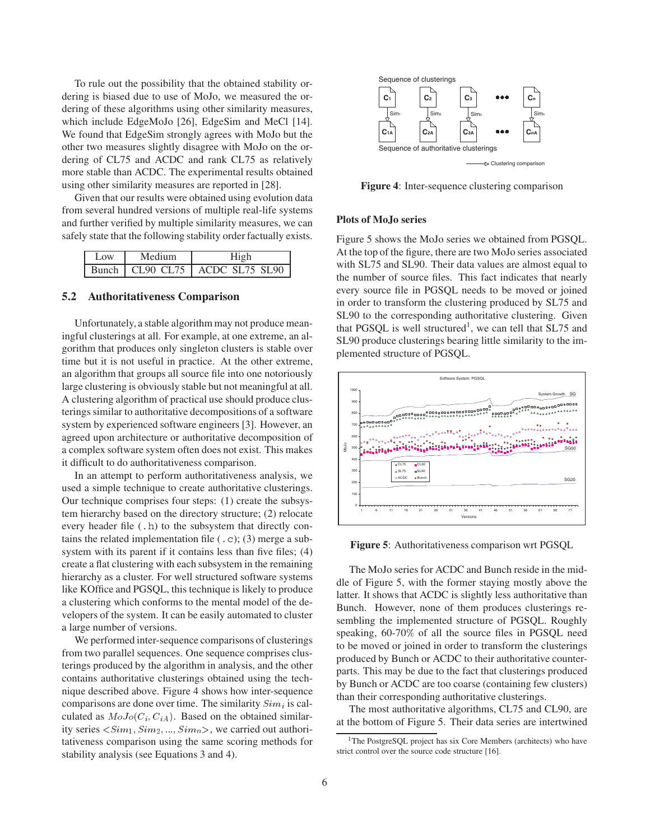To rule out the possibility that the obtained stability ordering is biased due to use of MoJo, we measured the ordering of these algorithms using other similarity measures, which include EdgeMoJo [26], EdgeSim and MeCl [14]. We found that EdgeSim strongly agrees with MoJo but the other two measures slightly disagree with MoJo on the ordering of CL75 and ACDC and rank CL75 as relatively more stable than ACDC. The experimental results obtained using other similarity measures are reported in [28].

Given that our results were obtained using evolution data from several hundred versions of multiple real-life systems and further verified by multiple similarity measures, we can safely state that the following stability order factually exists.

| Low | Medium | High                               |  |  |
|-----|--------|------------------------------------|--|--|
|     |        | Bunch   CL90 CL75   ACDC SL75 SL90 |  |  |

### **5.2 Authoritativeness Comparison**

Unfortunately, a stable algorithm may not produce meaningful clusterings at all. For example, at one extreme, an algorithm that produces only singleton clusters is stable over time but it is not useful in practice. At the other extreme, an algorithm that groups all source file into one notoriously large clustering is obviously stable but not meaningful at all. A clustering algorithm of practical use should produce clusterings similar to authoritative decompositions of a software system by experienced software engineers [3]. However, an agreed upon architecture or authoritative decomposition of a complex software system often does not exist. This makes it difficult to do authoritativeness comparison.

In an attempt to perform authoritativeness analysis, we used a simple technique to create authoritative clusterings. Our technique comprises four steps: (1) create the subsystem hierarchy based on the directory structure; (2) relocate every header file (.h) to the subsystem that directly contains the related implementation file  $(.c)$ ; (3) merge a subsystem with its parent if it contains less than five files; (4) create a flat clustering with each subsystem in the remaining hierarchy as a cluster. For well structured software systems like KOffice and PGSQL, this technique is likely to produce a clustering which conforms to the mental model of the developers of the system. It can be easily automated to cluster a large number of versions.

We performed inter-sequence comparisons of clusterings from two parallel sequences. One sequence comprises clusterings produced by the algorithm in analysis, and the other contains authoritative clusterings obtained using the technique described above. Figure 4 shows how inter-sequence comparisons are done over time. The similarity  $Sim_i$  is calculated as  $MoJo(C_i, C_{iA})$ . Based on the obtained similarity series  $\langle Sim_1, Sim_2, ..., Sim_n \rangle$ , we carried out authoritativeness comparison using the same scoring methods for stability analysis (see Equations 3 and 4).



**Figure 4**: Inter-sequence clustering comparison

#### **Plots of MoJo series**

Figure 5 shows the MoJo series we obtained from PGSQL. At the top of the figure, there are two MoJo series associated with SL75 and SL90. Their data values are almost equal to the number of source files. This fact indicates that nearly every source file in PGSQL needs to be moved or joined in order to transform the clustering produced by SL75 and SL90 to the corresponding authoritative clustering. Given that PGSQL is well structured<sup>1</sup>, we can tell that SL75 and SL90 produce clusterings bearing little similarity to the implemented structure of PGSQL.



**Figure 5**: Authoritativeness comparison wrt PGSQL

The MoJo series for ACDC and Bunch reside in the middle of Figure 5, with the former staying mostly above the latter. It shows that ACDC is slightly less authoritative than Bunch. However, none of them produces clusterings resembling the implemented structure of PGSQL. Roughly speaking, 60-70% of all the source files in PGSQL need to be moved or joined in order to transform the clusterings produced by Bunch or ACDC to their authoritative counterparts. This may be due to the fact that clusterings produced by Bunch or ACDC are too coarse (containing few clusters) than their corresponding authoritative clusterings.

The most authoritative algorithms, CL75 and CL90, are at the bottom of Figure 5. Their data series are intertwined

<sup>&</sup>lt;sup>1</sup>The PostgreSQL project has six Core Members (architects) who have strict control over the source code structure [16].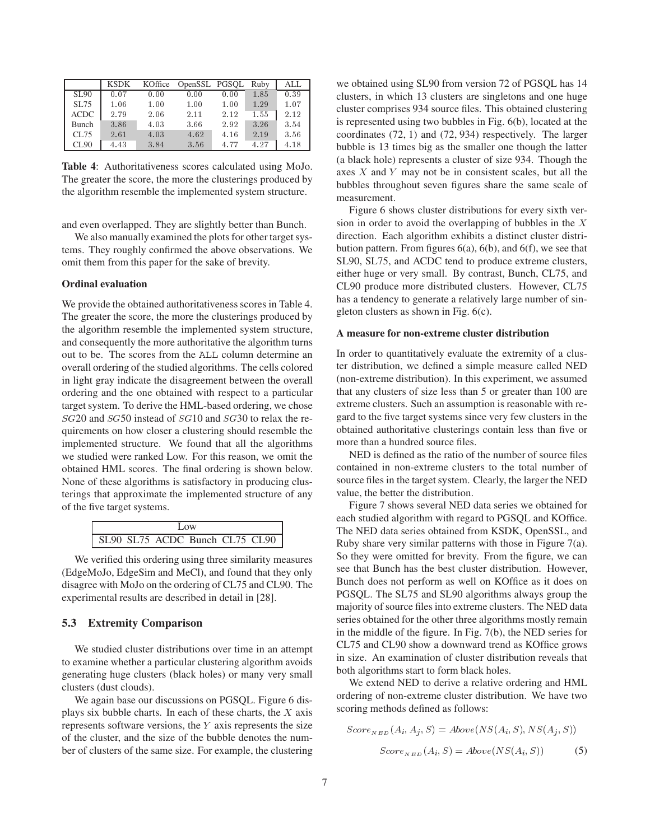|             | KSDK | KOffice | OpenSSL PGSOL Ruby |      |      | ALL  |
|-------------|------|---------|--------------------|------|------|------|
| <b>SL90</b> | 0.07 | 0.00    | 0.00               | 0.00 | 1.85 | 0.39 |
| SL75        | 1.06 | 1.00    | 1.00               | 1.00 | 1.29 | 1.07 |
| <b>ACDC</b> | 2.79 | 2.06    | 2.11               | 2.12 | 1.55 | 2.12 |
| Bunch       | 3.86 | 4.03    | 3.66               | 2.92 | 3.26 | 3.54 |
| CL75        | 2.61 | 4.03    | 4.62               | 4.16 | 2.19 | 3.56 |
| CL90        | 4.43 | 3.84    | 3.56               | 4.77 | 4.27 | 4.18 |

**Table 4**: Authoritativeness scores calculated using MoJo. The greater the score, the more the clusterings produced by the algorithm resemble the implemented system structure.

and even overlapped. They are slightly better than Bunch.

We also manually examined the plots for other target systems. They roughly confirmed the above observations. We omit them from this paper for the sake of brevity.

#### **Ordinal evaluation**

We provide the obtained authoritativeness scores in Table 4. The greater the score, the more the clusterings produced by the algorithm resemble the implemented system structure, and consequently the more authoritative the algorithm turns out to be. The scores from the ALL column determine an overall ordering of the studied algorithms. The cells colored in light gray indicate the disagreement between the overall ordering and the one obtained with respect to a particular target system. To derive the HML-based ordering, we chose  $SG20$  and  $SG50$  instead of  $SG10$  and  $SG30$  to relax the requirements on how closer a clustering should resemble the implemented structure. We found that all the algorithms we studied were ranked Low. For this reason, we omit the obtained HML scores. The final ordering is shown below. None of these algorithms is satisfactory in producing clusterings that approximate the implemented structure of any of the five target systems.

| $\log$                         |  |
|--------------------------------|--|
| SL90 SL75 ACDC Bunch CL75 CL90 |  |

We verified this ordering using three similarity measures (EdgeMoJo, EdgeSim and MeCl), and found that they only disagree with MoJo on the ordering of CL75 and CL90. The experimental results are described in detail in [28].

#### **5.3 Extremity Comparison**

We studied cluster distributions over time in an attempt to examine whether a particular clustering algorithm avoids generating huge clusters (black holes) or many very small clusters (dust clouds).

We again base our discussions on PGSQL. Figure 6 displays six bubble charts. In each of these charts, the  $X$  axis represents software versions, the  $Y$  axis represents the size of the cluster, and the size of the bubble denotes the number of clusters of the same size. For example, the clustering

we obtained using SL90 from version 72 of PGSQL has 14 clusters, in which 13 clusters are singletons and one huge cluster comprises 934 source files. This obtained clustering is represented using two bubbles in Fig. 6(b), located at the coordinates (72, 1) and (72, 934) respectively. The larger bubble is 13 times big as the smaller one though the latter (a black hole) represents a cluster of size 934. Though the axes  $X$  and  $Y$  may not be in consistent scales, but all the bubbles throughout seven figures share the same scale of measurement.

Figure 6 shows cluster distributions for every sixth version in order to avoid the overlapping of bubbles in the  $X$ direction. Each algorithm exhibits a distinct cluster distribution pattern. From figures  $6(a)$ ,  $6(b)$ , and  $6(f)$ , we see that SL90, SL75, and ACDC tend to produce extreme clusters, either huge or very small. By contrast, Bunch, CL75, and CL90 produce more distributed clusters. However, CL75 has a tendency to generate a relatively large number of singleton clusters as shown in Fig. 6(c).

#### **A measure for non-extreme cluster distribution**

In order to quantitatively evaluate the extremity of a cluster distribution, we defined a simple measure called NED (non-extreme distribution). In this experiment, we assumed that any clusters of size less than 5 or greater than 100 are extreme clusters. Such an assumption is reasonable with regard to the five target systems since very few clusters in the obtained authoritative clusterings contain less than five or more than a hundred source files.

NED is defined as the ratio of the number of source files contained in non-extreme clusters to the total number of source files in the target system. Clearly, the larger the NED value, the better the distribution.

Figure 7 shows several NED data series we obtained for each studied algorithm with regard to PGSQL and KOffice. The NED data series obtained from KSDK, OpenSSL, and Ruby share very similar patterns with those in Figure 7(a). So they were omitted for brevity. From the figure, we can see that Bunch has the best cluster distribution. However, Bunch does not perform as well on KOffice as it does on PGSQL. The SL75 and SL90 algorithms always group the majority of source files into extreme clusters. The NED data series obtained for the other three algorithms mostly remain in the middle of the figure. In Fig. 7(b), the NED series for CL75 and CL90 show a downward trend as KOffice grows in size. An examination of cluster distribution reveals that both algorithms start to form black holes.

We extend NED to derive a relative ordering and HML ordering of non-extreme cluster distribution. We have two scoring methods defined as follows:

$$
Score_{NED}(A_i, A_j, S) = Above(NS(A_i, S), NS(A_j, S))
$$

$$
Score_{NED}(A_i, S) = Above(NS(A_i, S))
$$
(5)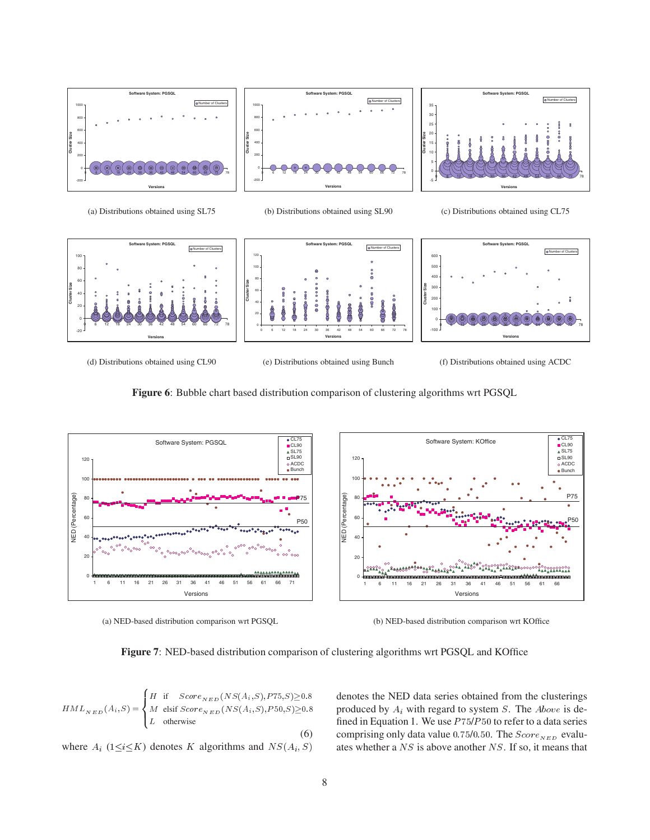

(a) Distributions obtained using SL75

(b) Distributions obtained using SL90





(d) Distributions obtained using CL90

(e) Distributions obtained using Bunch

(f) Distributions obtained using ACDC





(a) NED-based distribution comparison wrt PGSQL

(b) NED-based distribution comparison wrt KOffice

**Figure 7**: NED-based distribution comparison of clustering algorithms wrt PGSQL and KOffice

$$
HML_{NED}(A_i, S) = \begin{cases} H & \text{if } Score_{NED}(NS(A_i, S), P75, S) \ge 0.8\\ M & \text{elist } Score_{NED}(NS(A_i, S), P50, S) \ge 0.8\\ L & \text{otherwise} \end{cases}
$$
(6)

where  $A_i$  (1 $\leq i \leq K$ ) denotes K algorithms and  $NS(A_i, S)$  a

 $(a, b, s) \ge 0.8$  denotes the NED data series obtained from the clusterings  $(0, S) \geq 0.8$  produced by  $A_i$  with regard to system S. The *Above* is defined in Equation 1. We use  $P75/P50$  to refer to a data series comprising only data value  $0.75/0.50$ . The  $Score_{NED}$  evaluates whether a  $NS$  is above another  $NS$ . If so, it means that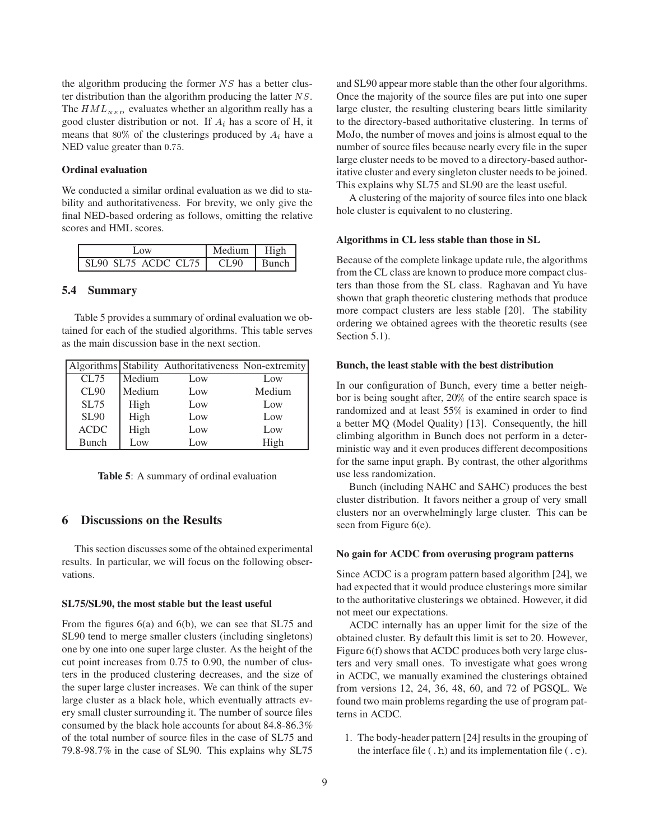the algorithm producing the former  $NS$  has a better cluster distribution than the algorithm producing the latter  $NS$ . The  $HML_{NED}$  evaluates whether an algorithm really has a good cluster distribution or not. If  $A_i$  has a score of H, it means that 80% of the clusterings produced by  $A_i$  have a NED value greater than  $0.75$ .

### **Ordinal evaluation**

We conducted a similar ordinal evaluation as we did to stability and authoritativeness. For brevity, we only give the final NED-based ordering as follows, omitting the relative scores and HML scores.

| 1.0W                | Medium   High |         |  |
|---------------------|---------------|---------|--|
| SL90 SL75 ACDC CL75 | CL 90         | l Bunch |  |

### **5.4 Summary**

Table 5 provides a summary of ordinal evaluation we obtained for each of the studied algorithms. This table serves as the main discussion base in the next section.

|              |        | Algorithms Stability Authoritativeness Non-extremity |        |
|--------------|--------|------------------------------------------------------|--------|
| CL75         | Medium | Low                                                  | Low    |
| CL90         | Medium | Low                                                  | Medium |
| <b>SL75</b>  | High   | Low                                                  | Low    |
| <b>SL90</b>  | High   | Low                                                  | Low    |
| $\rm ACDC$   | High   | Low                                                  | Low    |
| <b>Bunch</b> | Low    | Low                                                  | High   |

**Table 5**: A summary of ordinal evaluation

## **6 Discussions on the Results**

This section discusses some of the obtained experimental results. In particular, we will focus on the following observations.

#### **SL75/SL90, the most stable but the least useful**

From the figures 6(a) and 6(b), we can see that SL75 and SL90 tend to merge smaller clusters (including singletons) one by one into one super large cluster. As the height of the cut point increases from 0.75 to 0.90, the number of clusters in the produced clustering decreases, and the size of the super large cluster increases. We can think of the super large cluster as a black hole, which eventually attracts every small cluster surrounding it. The number of source files consumed by the black hole accounts for about 84.8-86.3% of the total number of source files in the case of SL75 and 79.8-98.7% in the case of SL90. This explains why SL75

and SL90 appear more stable than the other four algorithms. Once the majority of the source files are put into one super large cluster, the resulting clustering bears little similarity to the directory-based authoritative clustering. In terms of MoJo, the number of moves and joins is almost equal to the number of source files because nearly every file in the super large cluster needs to be moved to a directory-based authoritative cluster and every singleton cluster needs to be joined. This explains why SL75 and SL90 are the least useful.

A clustering of the majority of source files into one black hole cluster is equivalent to no clustering.

#### **Algorithms in CL less stable than those in SL**

Because of the complete linkage update rule, the algorithms from the CL class are known to produce more compact clusters than those from the SL class. Raghavan and Yu have shown that graph theoretic clustering methods that produce more compact clusters are less stable [20]. The stability ordering we obtained agrees with the theoretic results (see Section 5.1).

#### **Bunch, the least stable with the best distribution**

In our configuration of Bunch, every time a better neighbor is being sought after, 20% of the entire search space is randomized and at least 55% is examined in order to find a better MQ (Model Quality) [13]. Consequently, the hill climbing algorithm in Bunch does not perform in a deterministic way and it even produces different decompositions for the same input graph. By contrast, the other algorithms use less randomization.

Bunch (including NAHC and SAHC) produces the best cluster distribution. It favors neither a group of very small clusters nor an overwhelmingly large cluster. This can be seen from Figure 6(e).

### **No gain for ACDC from overusing program patterns**

Since ACDC is a program pattern based algorithm [24], we had expected that it would produce clusterings more similar to the authoritative clusterings we obtained. However, it did not meet our expectations.

ACDC internally has an upper limit for the size of the obtained cluster. By default this limit is set to 20. However, Figure 6(f) shows that ACDC produces both very large clusters and very small ones. To investigate what goes wrong in ACDC, we manually examined the clusterings obtained from versions 12, 24, 36, 48, 60, and 72 of PGSQL. We found two main problems regarding the use of program patterns in ACDC.

1. The body-header pattern [24] results in the grouping of the interface file  $($ .h) and its implementation file  $($ .c).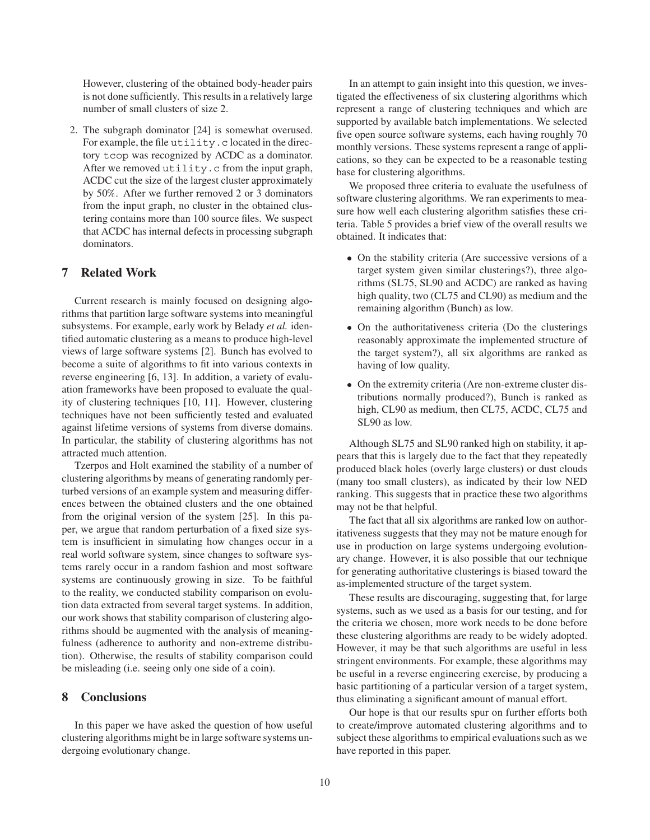However, clustering of the obtained body-header pairs is not done sufficiently. This results in a relatively large number of small clusters of size 2.

2. The subgraph dominator [24] is somewhat overused. For example, the file utility.c located in the directory tcop was recognized by ACDC as a dominator. After we removed utility.c from the input graph, ACDC cut the size of the largest cluster approximately by 50%. After we further removed 2 or 3 dominators from the input graph, no cluster in the obtained clustering contains more than 100 source files. We suspect that ACDC has internal defects in processing subgraph dominators.

### **7 Related Work**

Current research is mainly focused on designing algorithms that partition large software systems into meaningful subsystems. For example, early work by Belady *et al.* identified automatic clustering as a means to produce high-level views of large software systems [2]. Bunch has evolved to become a suite of algorithms to fit into various contexts in reverse engineering [6, 13]. In addition, a variety of evaluation frameworks have been proposed to evaluate the quality of clustering techniques [10, 11]. However, clustering techniques have not been sufficiently tested and evaluated against lifetime versions of systems from diverse domains. In particular, the stability of clustering algorithms has not attracted much attention.

Tzerpos and Holt examined the stability of a number of clustering algorithms by means of generating randomly perturbed versions of an example system and measuring differences between the obtained clusters and the one obtained from the original version of the system [25]. In this paper, we argue that random perturbation of a fixed size system is insufficient in simulating how changes occur in a real world software system, since changes to software systems rarely occur in a random fashion and most software systems are continuously growing in size. To be faithful to the reality, we conducted stability comparison on evolution data extracted from several target systems. In addition, our work shows that stability comparison of clustering algorithms should be augmented with the analysis of meaningfulness (adherence to authority and non-extreme distribution). Otherwise, the results of stability comparison could be misleading (i.e. seeing only one side of a coin).

## **8 Conclusions**

In this paper we have asked the question of how useful clustering algorithms might be in large software systems undergoing evolutionary change.

In an attempt to gain insight into this question, we investigated the effectiveness of six clustering algorithms which represent a range of clustering techniques and which are supported by available batch implementations. We selected five open source software systems, each having roughly 70 monthly versions. These systems represent a range of applications, so they can be expected to be a reasonable testing base for clustering algorithms.

We proposed three criteria to evaluate the usefulness of software clustering algorithms. We ran experiments to measure how well each clustering algorithm satisfies these criteria. Table 5 provides a brief view of the overall results we obtained. It indicates that:

- On the stability criteria (Are successive versions of a target system given similar clusterings?), three algorithms (SL75, SL90 and ACDC) are ranked as having high quality, two (CL75 and CL90) as medium and the remaining algorithm (Bunch) as low.
- On the authoritativeness criteria (Do the clusterings reasonably approximate the implemented structure of the target system?), all six algorithms are ranked as having of low quality.
- On the extremity criteria (Are non-extreme cluster distributions normally produced?), Bunch is ranked as high, CL90 as medium, then CL75, ACDC, CL75 and SL90 as low.

Although SL75 and SL90 ranked high on stability, it appears that this is largely due to the fact that they repeatedly produced black holes (overly large clusters) or dust clouds (many too small clusters), as indicated by their low NED ranking. This suggests that in practice these two algorithms may not be that helpful.

The fact that all six algorithms are ranked low on authoritativeness suggests that they may not be mature enough for use in production on large systems undergoing evolutionary change. However, it is also possible that our technique for generating authoritative clusterings is biased toward the as-implemented structure of the target system.

These results are discouraging, suggesting that, for large systems, such as we used as a basis for our testing, and for the criteria we chosen, more work needs to be done before these clustering algorithms are ready to be widely adopted. However, it may be that such algorithms are useful in less stringent environments. For example, these algorithms may be useful in a reverse engineering exercise, by producing a basic partitioning of a particular version of a target system, thus eliminating a significant amount of manual effort.

Our hope is that our results spur on further efforts both to create/improve automated clustering algorithms and to subject these algorithms to empirical evaluations such as we have reported in this paper.